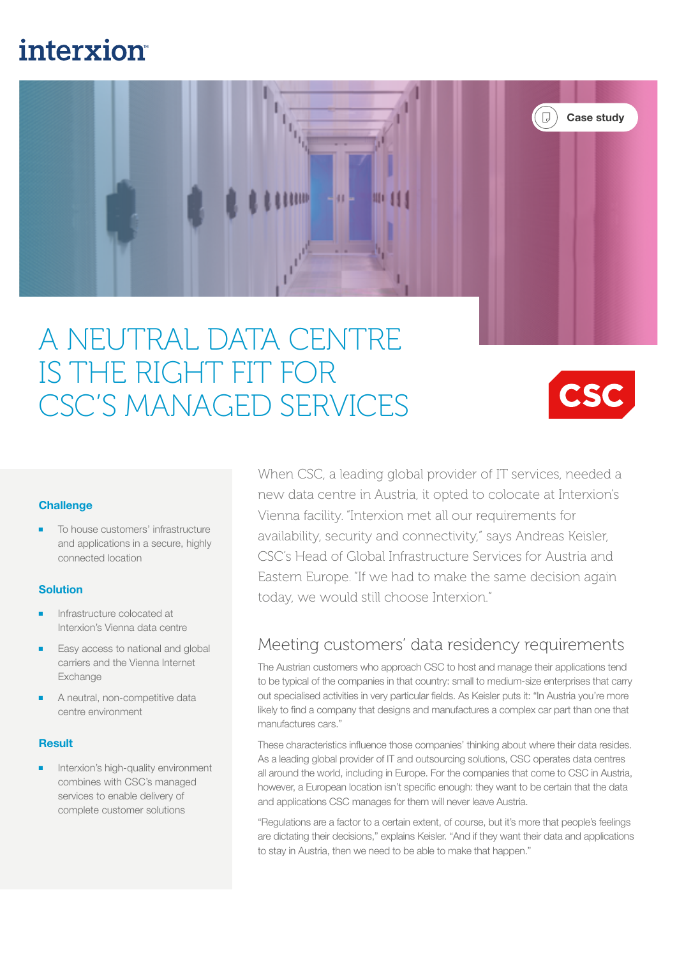## **interxion**



# A NEUTRAL DATA CENTRE IS THE RIGHT FIT FOR CSC'S MANAGED SERVICES



#### **Challenge**

To house customers' infrastructure and applications in a secure, highly connected location

#### **Solution**

- Infrastructure colocated at Interxion's Vienna data centre
- Easy access to national and global carriers and the Vienna Internet Exchange
- A neutral, non-competitive data centre environment

#### **Result**

Interxion's high-quality environment combines with CSC's managed services to enable delivery of complete customer solutions

When CSC, a leading global provider of IT services, needed a new data centre in Austria, it opted to colocate at Interxion's Vienna facility. "Interxion met all our requirements for availability, security and connectivity," says Andreas Keisler, CSC's Head of Global Infrastructure Services for Austria and Eastern Europe. "If we had to make the same decision again today, we would still choose Interxion."

### Meeting customers' data residency requirements

The Austrian customers who approach CSC to host and manage their applications tend to be typical of the companies in that country: small to medium-size enterprises that carry out specialised activities in very particular fields. As Keisler puts it: "In Austria you're more likely to find a company that designs and manufactures a complex car part than one that manufactures cars."

These characteristics influence those companies' thinking about where their data resides. As a leading global provider of IT and outsourcing solutions, CSC operates data centres all around the world, including in Europe. For the companies that come to CSC in Austria, however, a European location isn't specific enough: they want to be certain that the data and applications CSC manages for them will never leave Austria.

"Regulations are a factor to a certain extent, of course, but it's more that people's feelings are dictating their decisions," explains Keisler. "And if they want their data and applications to stay in Austria, then we need to be able to make that happen."